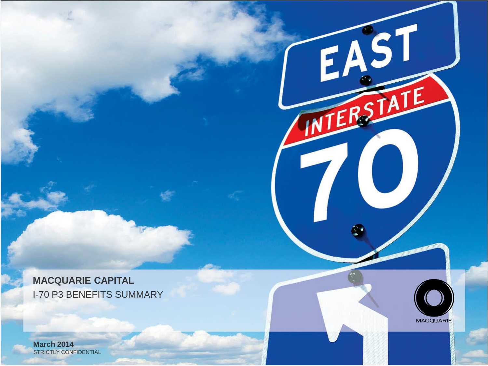I-70 P3 BENEFITS SUMMARY **MACQUARIE CAPITAL**



EAST

NTERS

 $\overline{\phantom{a}}$ 

STRICTLY CONFIDENTIAL **March 2014**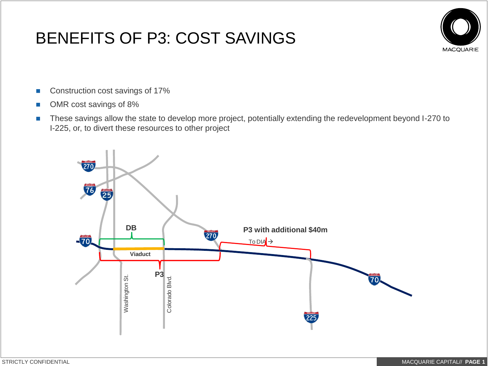## BENEFITS OF P3: COST SAVINGS



- Construction cost savings of 17%
- OMR cost savings of 8%
- These savings allow the state to develop more project, potentially extending the redevelopment beyond I-270 to I-225, or, to divert these resources to other project

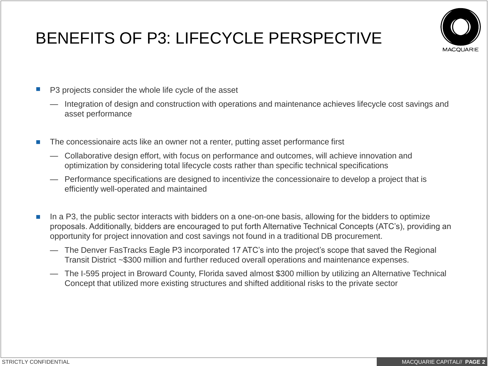## BENEFITS OF P3: LIFECYCLE PERSPECTIVE



- P3 projects consider the whole life cycle of the asset
	- Integration of design and construction with operations and maintenance achieves lifecycle cost savings and asset performance
- **The concessionaire acts like an owner not a renter, putting asset performance first** 
	- Collaborative design effort, with focus on performance and outcomes, will achieve innovation and optimization by considering total lifecycle costs rather than specific technical specifications
	- Performance specifications are designed to incentivize the concessionaire to develop a project that is efficiently well-operated and maintained
- In a P3, the public sector interacts with bidders on a one-on-one basis, allowing for the bidders to optimize proposals. Additionally, bidders are encouraged to put forth Alternative Technical Concepts (ATC's), providing an opportunity for project innovation and cost savings not found in a traditional DB procurement.
	- The Denver FasTracks Eagle P3 incorporated 17 ATC's into the project's scope that saved the Regional Transit District ~\$300 million and further reduced overall operations and maintenance expenses.
	- The I-595 project in Broward County, Florida saved almost \$300 million by utilizing an Alternative Technical Concept that utilized more existing structures and shifted additional risks to the private sector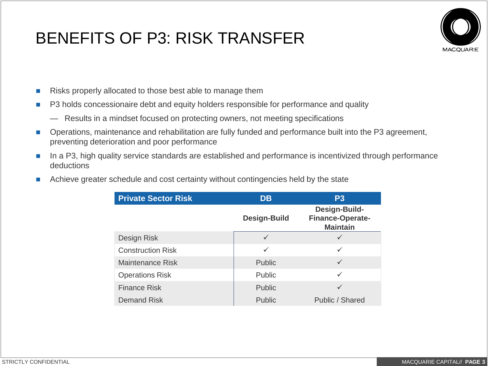## BENEFITS OF P3: RISK TRANSFER



- Risks properly allocated to those best able to manage them
- **P3** holds concessionaire debt and equity holders responsible for performance and quality
	- Results in a mindset focused on protecting owners, not meeting specifications
- Operations, maintenance and rehabilitation are fully funded and performance built into the P3 agreement, preventing deterioration and poor performance
- In a P3, high quality service standards are established and performance is incentivized through performance deductions
- Achieve greater schedule and cost certainty without contingencies held by the state

| <b>Private Sector Risk</b> | <b>DB</b>           | <b>P3</b>                                            |
|----------------------------|---------------------|------------------------------------------------------|
|                            | <b>Design-Build</b> | Design-Build-<br>Finance-Operate-<br><b>Maintain</b> |
| Design Risk                | $\checkmark$        | ✓                                                    |
| <b>Construction Risk</b>   | $\checkmark$        | ✓                                                    |
| <b>Maintenance Risk</b>    | <b>Public</b>       | ✓                                                    |
| <b>Operations Risk</b>     | <b>Public</b>       | ✓                                                    |
| <b>Finance Risk</b>        | <b>Public</b>       | ✓                                                    |
| <b>Demand Risk</b>         | <b>Public</b>       | Public / Shared                                      |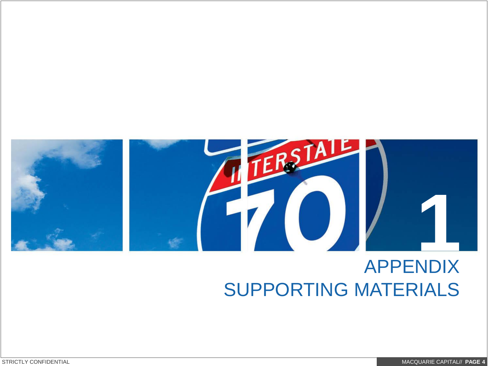

# APPENDIX SUPPORTING MATERIALS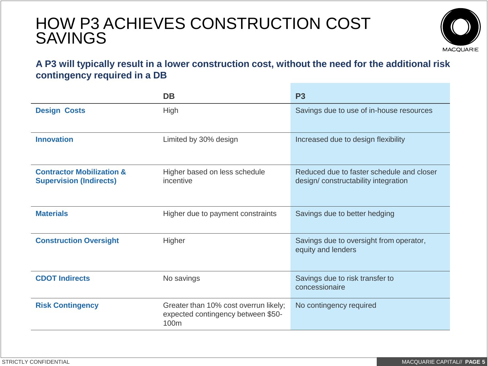### HOW P3 ACHIEVES CONSTRUCTION COST SAVINGS



#### **A P3 will typically result in a lower construction cost, without the need for the additional risk contingency required in a DB**

|                                                                        | <b>DB</b>                                                                                       | <b>P3</b>                                                                        |
|------------------------------------------------------------------------|-------------------------------------------------------------------------------------------------|----------------------------------------------------------------------------------|
| <b>Design Costs</b>                                                    | High                                                                                            | Savings due to use of in-house resources                                         |
| <b>Innovation</b>                                                      | Limited by 30% design                                                                           | Increased due to design flexibility                                              |
| <b>Contractor Mobilization &amp;</b><br><b>Supervision (Indirects)</b> | Higher based on less schedule<br>incentive                                                      | Reduced due to faster schedule and closer<br>design/constructability integration |
| <b>Materials</b>                                                       | Higher due to payment constraints                                                               | Savings due to better hedging                                                    |
| <b>Construction Oversight</b>                                          | Higher                                                                                          | Savings due to oversight from operator,<br>equity and lenders                    |
| <b>CDOT Indirects</b>                                                  | No savings                                                                                      | Savings due to risk transfer to<br>concessionaire                                |
| <b>Risk Contingency</b>                                                | Greater than 10% cost overrun likely;<br>expected contingency between \$50-<br>100 <sub>m</sub> | No contingency required                                                          |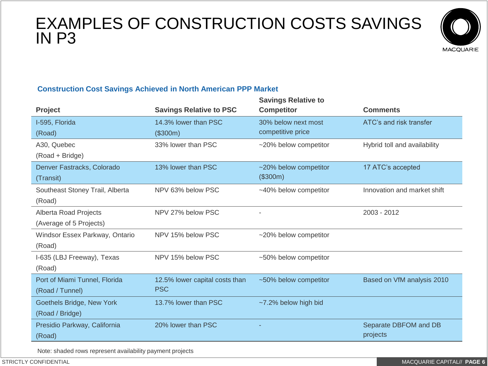### EXAMPLES OF CONSTRUCTION COSTS SAVINGS IN P3



#### **Construction Cost Savings Achieved in North American PPP Market**

|                                | <b>Savings Relative to</b> |                              |
|--------------------------------|----------------------------|------------------------------|
| <b>Savings Relative to PSC</b> | <b>Competitor</b>          | <b>Comments</b>              |
| 14.3% lower than PSC           | 30% below next most        | ATC's and risk transfer      |
| (\$300m)                       | competitive price          |                              |
| 33% lower than PSC             | ~20% below competitor      | Hybrid toll and availability |
|                                |                            |                              |
| 13% lower than PSC             | ~20% below competitor      | 17 ATC's accepted            |
|                                | (\$300m)                   |                              |
| NPV 63% below PSC              | ~40% below competitor      | Innovation and market shift  |
|                                |                            |                              |
| NPV 27% below PSC              |                            | 2003 - 2012                  |
|                                |                            |                              |
| NPV 15% below PSC              | ~20% below competitor      |                              |
|                                |                            |                              |
| NPV 15% below PSC              | ~50% below competitor      |                              |
|                                |                            |                              |
| 12.5% lower capital costs than | ~50% below competitor      | Based on VfM analysis 2010   |
| <b>PSC</b>                     |                            |                              |
| 13.7% lower than PSC           | ~7.2% below high bid       |                              |
|                                |                            |                              |
| 20% lower than PSC             |                            | Separate DBFOM and DB        |
|                                |                            | projects                     |
|                                |                            |                              |

Note: shaded rows represent availability payment projects